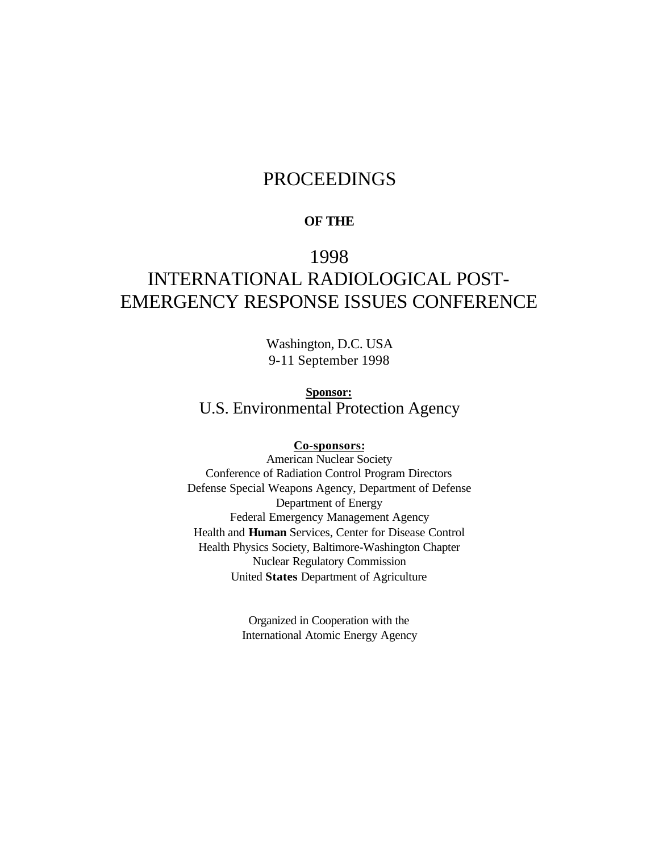# PROCEEDINGS

#### **OF THE**

# 1998 INTERNATIONAL RADIOLOGICAL POST-EMERGENCY RESPONSE ISSUES CONFERENCE

Washington, D.C. USA 9-11 September 1998

**Sponsor:** U.S. Environmental Protection Agency

#### **Co-sponsors:**

American Nuclear Society Conference of Radiation Control Program Directors Defense Special Weapons Agency, Department of Defense Department of Energy Federal Emergency Management Agency Health and **Human** Services, Center for Disease Control Health Physics Society, Baltimore-Washington Chapter Nuclear Regulatory Commission United **States** Department of Agriculture

> Organized in Cooperation with the International Atomic Energy Agency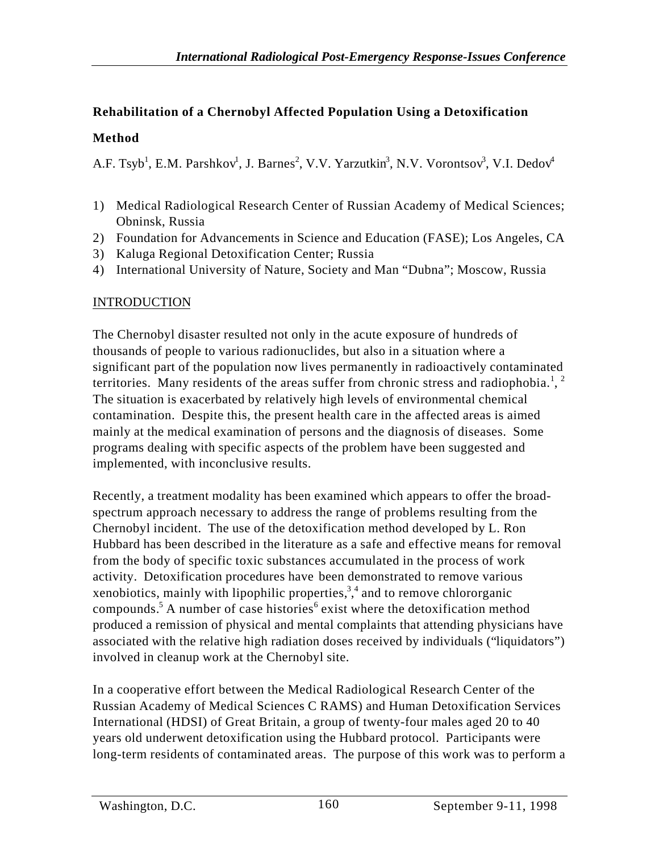## **Rehabilitation of a Chernobyl Affected Population Using a Detoxification**

### **Method**

A.F. Tsyb<sup>1</sup>, E.M. Parshkov<sup>1</sup>, J. Barnes<sup>2</sup>, V.V. Yarzutkin<sup>3</sup>, N.V. Vorontsov<sup>3</sup>, V.I. Dedov<sup>4</sup>

- 1) Medical Radiological Research Center of Russian Academy of Medical Sciences; Obninsk, Russia
- 2) Foundation for Advancements in Science and Education (FASE); Los Angeles, CA
- 3) Kaluga Regional Detoxification Center; Russia
- 4) International University of Nature, Society and Man "Dubna"; Moscow, Russia

### INTRODUCTION

The Chernobyl disaster resulted not only in the acute exposure of hundreds of thousands of people to various radionuclides, but also in a situation where a significant part of the population now lives permanently in radioactively contaminated territories. Many residents of the areas suffer from chronic stress and radiophobia.<sup>1</sup>, <sup>2</sup> The situation is exacerbated by relatively high levels of environmental chemical contamination. Despite this, the present health care in the affected areas is aimed mainly at the medical examination of persons and the diagnosis of diseases. Some programs dealing with specific aspects of the problem have been suggested and implemented, with inconclusive results.

Recently, a treatment modality has been examined which appears to offer the broadspectrum approach necessary to address the range of problems resulting from the Chernobyl incident. The use of the detoxification method developed by L. Ron Hubbard has been described in the literature as a safe and effective means for removal from the body of specific toxic substances accumulated in the process of work activity. Detoxification procedures have been demonstrated to remove various xenobiotics, mainly with lipophilic properties,  $3,4$  and to remove chlororganic compounds.<sup>5</sup> A number of case histories<sup>6</sup> exist where the detoxification method produced a remission of physical and mental complaints that attending physicians have associated with the relative high radiation doses received by individuals ("liquidators") involved in cleanup work at the Chernobyl site.

In a cooperative effort between the Medical Radiological Research Center of the Russian Academy of Medical Sciences C RAMS) and Human Detoxification Services International (HDSI) of Great Britain, a group of twenty-four males aged 20 to 40 years old underwent detoxification using the Hubbard protocol. Participants were long-term residents of contaminated areas. The purpose of this work was to perform a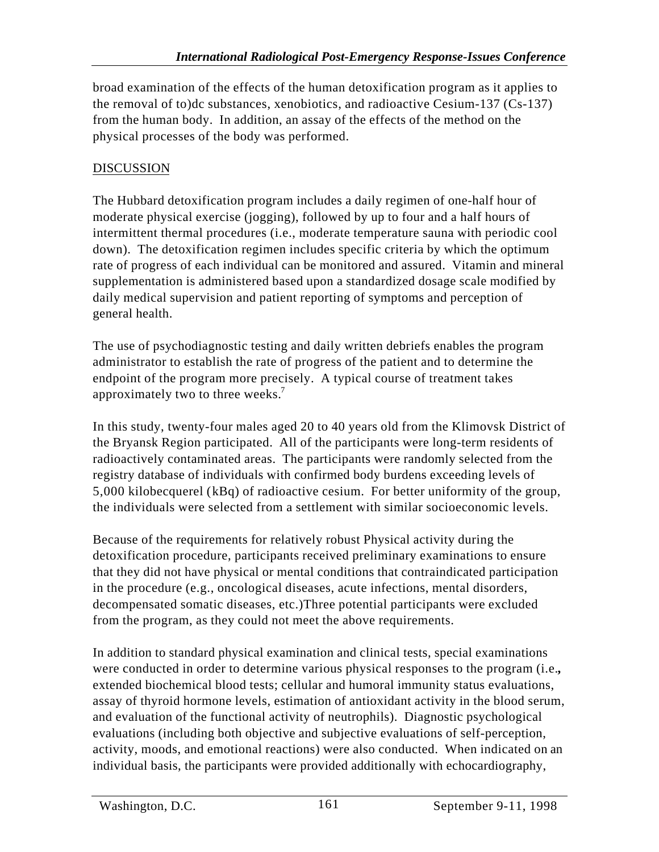broad examination of the effects of the human detoxification program as it applies to the removal of to)dc substances, xenobiotics, and radioactive Cesium-137 (Cs-137) from the human body. In addition, an assay of the effects of the method on the physical processes of the body was performed.

### DISCUSSION

The Hubbard detoxification program includes a daily regimen of one-half hour of moderate physical exercise (jogging), followed by up to four and a half hours of intermittent thermal procedures (i.e., moderate temperature sauna with periodic cool down). The detoxification regimen includes specific criteria by which the optimum rate of progress of each individual can be monitored and assured. Vitamin and mineral supplementation is administered based upon a standardized dosage scale modified by daily medical supervision and patient reporting of symptoms and perception of general health.

The use of psychodiagnostic testing and daily written debriefs enables the program administrator to establish the rate of progress of the patient and to determine the endpoint of the program more precisely. A typical course of treatment takes approximately two to three weeks.<sup>7</sup>

In this study, twenty-four males aged 20 to 40 years old from the Klimovsk District of the Bryansk Region participated. All of the participants were long-term residents of radioactively contaminated areas. The participants were randomly selected from the registry database of individuals with confirmed body burdens exceeding levels of 5,000 kilobecquerel (kBq) of radioactive cesium. For better uniformity of the group, the individuals were selected from a settlement with similar socioeconomic levels.

Because of the requirements for relatively robust Physical activity during the detoxification procedure, participants received preliminary examinations to ensure that they did not have physical or mental conditions that contraindicated participation in the procedure (e.g., oncological diseases, acute infections, mental disorders, decompensated somatic diseases, etc.)Three potential participants were excluded from the program, as they could not meet the above requirements.

In addition to standard physical examination and clinical tests, special examinations were conducted in order to determine various physical responses to the program (i.e.**,** extended biochemical blood tests; cellular and humoral immunity status evaluations, assay of thyroid hormone levels, estimation of antioxidant activity in the blood serum, and evaluation of the functional activity of neutrophils). Diagnostic psychological evaluations (including both objective and subjective evaluations of self-perception, activity, moods, and emotional reactions) were also conducted. When indicated on an individual basis, the participants were provided additionally with echocardiography,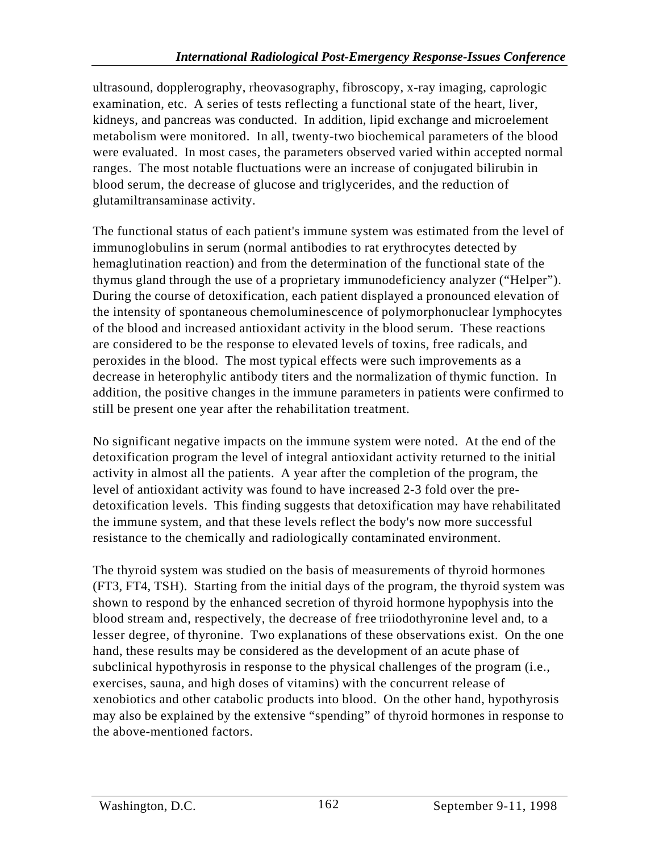ultrasound, dopplerography, rheovasography, fibroscopy, x-ray imaging, caprologic examination, etc. A series of tests reflecting a functional state of the heart, liver, kidneys, and pancreas was conducted. In addition, lipid exchange and microelement metabolism were monitored. In all, twenty-two biochemical parameters of the blood were evaluated. In most cases, the parameters observed varied within accepted normal ranges. The most notable fluctuations were an increase of conjugated bilirubin in blood serum, the decrease of glucose and triglycerides, and the reduction of glutamiltransaminase activity.

The functional status of each patient's immune system was estimated from the level of immunoglobulins in serum (normal antibodies to rat erythrocytes detected by hemaglutination reaction) and from the determination of the functional state of the thymus gland through the use of a proprietary immunodeficiency analyzer ("Helper"). During the course of detoxification, each patient displayed a pronounced elevation of the intensity of spontaneous chemoluminescence of polymorphonuclear lymphocytes of the blood and increased antioxidant activity in the blood serum. These reactions are considered to be the response to elevated levels of toxins, free radicals, and peroxides in the blood. The most typical effects were such improvements as a decrease in heterophylic antibody titers and the normalization of thymic function. In addition, the positive changes in the immune parameters in patients were confirmed to still be present one year after the rehabilitation treatment.

No significant negative impacts on the immune system were noted. At the end of the detoxification program the level of integral antioxidant activity returned to the initial activity in almost all the patients. A year after the completion of the program, the level of antioxidant activity was found to have increased 2-3 fold over the predetoxification levels. This finding suggests that detoxification may have rehabilitated the immune system, and that these levels reflect the body's now more successful resistance to the chemically and radiologically contaminated environment.

The thyroid system was studied on the basis of measurements of thyroid hormones (FT3, FT4, TSH). Starting from the initial days of the program, the thyroid system was shown to respond by the enhanced secretion of thyroid hormone hypophysis into the blood stream and, respectively, the decrease of free triiodothyronine level and, to a lesser degree, of thyronine. Two explanations of these observations exist. On the one hand, these results may be considered as the development of an acute phase of subclinical hypothyrosis in response to the physical challenges of the program (i.e., exercises, sauna, and high doses of vitamins) with the concurrent release of xenobiotics and other catabolic products into blood. On the other hand, hypothyrosis may also be explained by the extensive "spending" of thyroid hormones in response to the above-mentioned factors.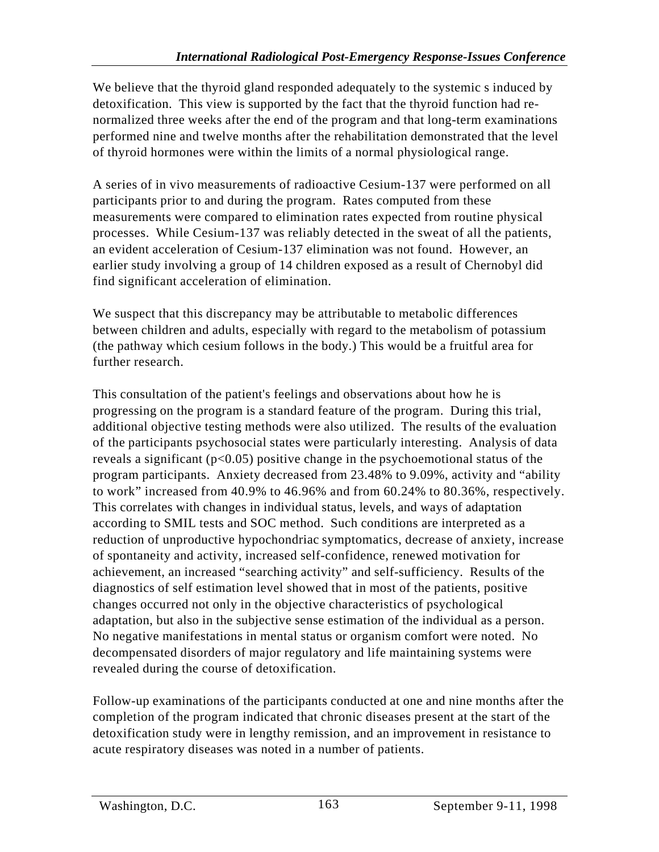We believe that the thyroid gland responded adequately to the systemic s induced by detoxification. This view is supported by the fact that the thyroid function had renormalized three weeks after the end of the program and that long-term examinations performed nine and twelve months after the rehabilitation demonstrated that the level of thyroid hormones were within the limits of a normal physiological range.

A series of in vivo measurements of radioactive Cesium-137 were performed on all participants prior to and during the program. Rates computed from these measurements were compared to elimination rates expected from routine physical processes. While Cesium-137 was reliably detected in the sweat of all the patients, an evident acceleration of Cesium-137 elimination was not found. However, an earlier study involving a group of 14 children exposed as a result of Chernobyl did find significant acceleration of elimination.

We suspect that this discrepancy may be attributable to metabolic differences between children and adults, especially with regard to the metabolism of potassium (the pathway which cesium follows in the body.) This would be a fruitful area for further research.

This consultation of the patient's feelings and observations about how he is progressing on the program is a standard feature of the program. During this trial, additional objective testing methods were also utilized. The results of the evaluation of the participants psychosocial states were particularly interesting. Analysis of data reveals a significant ( $p<0.05$ ) positive change in the psychoemotional status of the program participants. Anxiety decreased from 23.48% to 9.09%, activity and "ability to work" increased from 40.9% to 46.96% and from 60.24% to 80.36%, respectively. This correlates with changes in individual status, levels, and ways of adaptation according to SMIL tests and SOC method. Such conditions are interpreted as a reduction of unproductive hypochondriac symptomatics, decrease of anxiety, increase of spontaneity and activity, increased self-confidence, renewed motivation for achievement, an increased "searching activity" and self-sufficiency. Results of the diagnostics of self estimation level showed that in most of the patients, positive changes occurred not only in the objective characteristics of psychological adaptation, but also in the subjective sense estimation of the individual as a person. No negative manifestations in mental status or organism comfort were noted. No decompensated disorders of major regulatory and life maintaining systems were revealed during the course of detoxification.

Follow-up examinations of the participants conducted at one and nine months after the completion of the program indicated that chronic diseases present at the start of the detoxification study were in lengthy remission, and an improvement in resistance to acute respiratory diseases was noted in a number of patients.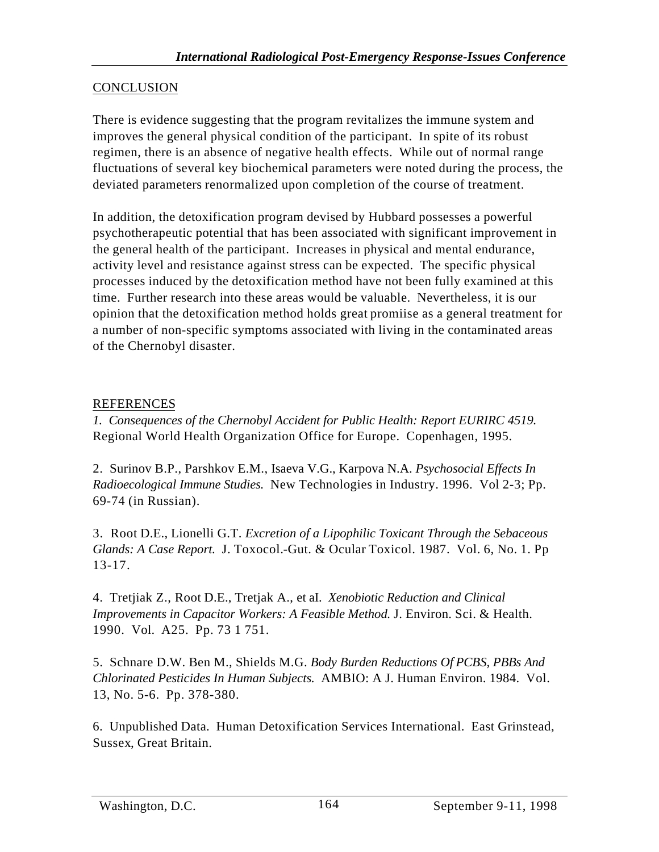#### CONCLUSION

There is evidence suggesting that the program revitalizes the immune system and improves the general physical condition of the participant. In spite of its robust regimen, there is an absence of negative health effects. While out of normal range fluctuations of several key biochemical parameters were noted during the process, the deviated parameters renormalized upon completion of the course of treatment.

In addition, the detoxification program devised by Hubbard possesses a powerful psychotherapeutic potential that has been associated with significant improvement in the general health of the participant. Increases in physical and mental endurance, activity level and resistance against stress can be expected. The specific physical processes induced by the detoxification method have not been fully examined at this time. Further research into these areas would be valuable. Nevertheless, it is our opinion that the detoxification method holds great promiise as a general treatment for a number of non-specific symptoms associated with living in the contaminated areas of the Chernobyl disaster.

#### REFERENCES

*1. Consequences of the Chernobyl Accident for Public Health: Report EURIRC 4519.* Regional World Health Organization Office for Europe. Copenhagen, 1995.

2. Surinov B.P., Parshkov E.M., Isaeva V.G., Karpova N.A. *Psychosocial Effects In Radioecological Immune Studies.* New Technologies in Industry. 1996. Vol 2-3; Pp. 69-74 (in Russian).

3. Root D.E., Lionelli G.T. *Excretion of a Lipophilic Toxicant Through the Sebaceous Glands: A Case Report.* J. Toxocol.-Gut. & Ocular Toxicol. 1987. Vol. 6, No. 1. Pp 13-17.

4. Tretjiak Z., Root D.E., Tretjak A., et aI. *Xenobiotic Reduction and Clinical Improvements in Capacitor Workers: A Feasible Method.* J. Environ. Sci. & Health. 1990. Vol. A25. Pp. 73 1 751.

5. Schnare D.W. Ben M., Shields M.G. *Body Burden Reductions Of PCBS, PBBs And Chlorinated Pesticides In Human Subjects.* AMBIO: A J. Human Environ. 1984. Vol. 13, No. 5-6. Pp. 378-380.

6. Unpublished Data. Human Detoxification Services International. East Grinstead, Sussex, Great Britain.